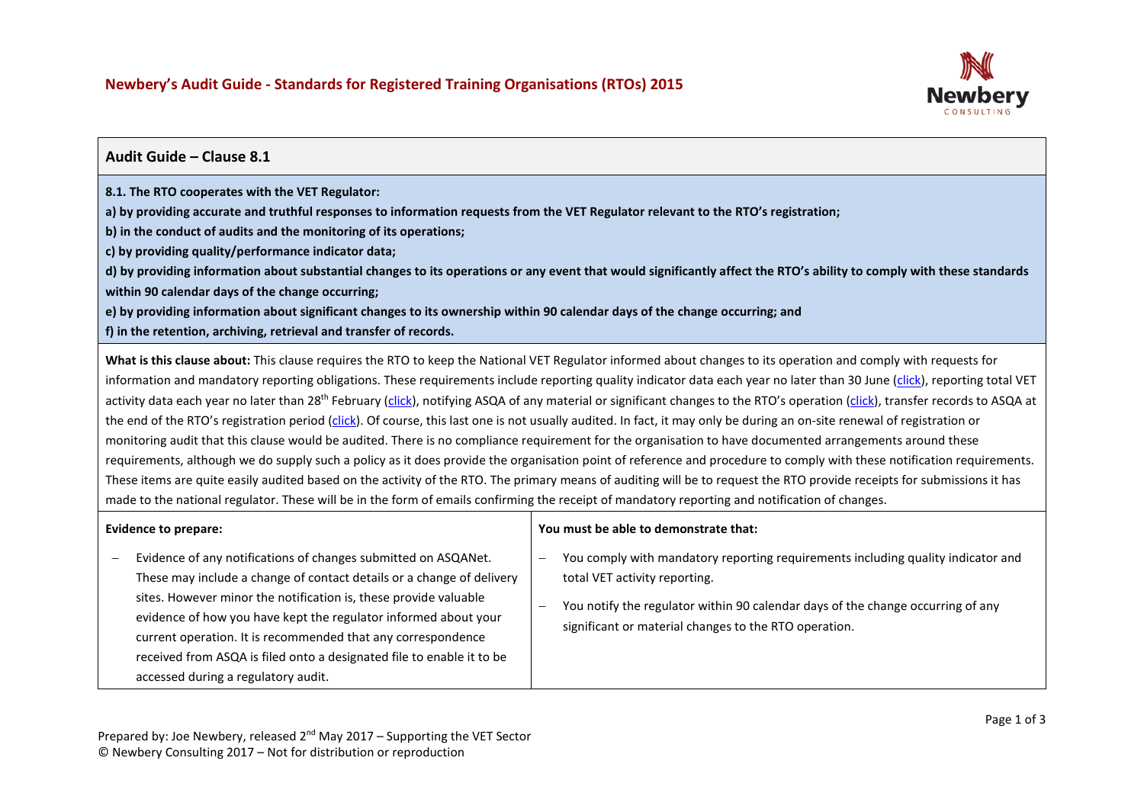

## **Audit Guide – Clause 8.1**

**8.1. The RTO cooperates with the VET Regulator:** 

**a) by providing accurate and truthful responses to information requests from the VET Regulator relevant to the RTO's registration;**

**b) in the conduct of audits and the monitoring of its operations;**

**c) by providing quality/performance indicator data;**

**d) by providing information about substantial changes to its operations or any event that would significantly affect the RTO's ability to comply with these standards within 90 calendar days of the change occurring;** 

**e) by providing information about significant changes to its ownership within 90 calendar days of the change occurring; and f) in the retention, archiving, retrieval and transfer of records.**

**What is this clause about:** This clause requires the RTO to keep the National VET Regulator informed about changes to its operation and comply with requests for information and mandatory reporting obligations. These requirements include reporting quality indicator data each year no later than 30 June [\(click\)](https://www.asqa.gov.au/vet-registration/meet-data-provision-requirements/quality-indicator-reporting), reporting total VET activity data each year no later than 28<sup>th</sup> February [\(click\)](https://www.asqa.gov.au/vet-registration/meet-requirements-ongoing-registration/notify-asqa-changes), notifying ASQA of any material or significant changes to the RTO's operation (click), transfer records to ASQA at the end of the RTO's registration period [\(click\)](https://www.asqa.gov.au/vet-registration/withdraw-your-registration/provide-student-records-asqa). Of course, this last one is not usually audited. In fact, it may only be during an on-site renewal of registration or monitoring audit that this clause would be audited. There is no compliance requirement for the organisation to have documented arrangements around these requirements, although we do supply such a policy as it does provide the organisation point of reference and procedure to comply with these notification requirements. These items are quite easily audited based on the activity of the RTO. The primary means of auditing will be to request the RTO provide receipts for submissions it has made to the national regulator. These will be in the form of emails confirming the receipt of mandatory reporting and notification of changes.

| <b>Evidence to prepare:</b>                                                                                                                                                                                                                                                                                                                                                                                                                                    | You must be able to demonstrate that:                                                                                                                                                                                                                         |  |
|----------------------------------------------------------------------------------------------------------------------------------------------------------------------------------------------------------------------------------------------------------------------------------------------------------------------------------------------------------------------------------------------------------------------------------------------------------------|---------------------------------------------------------------------------------------------------------------------------------------------------------------------------------------------------------------------------------------------------------------|--|
| Evidence of any notifications of changes submitted on ASQANet.<br>These may include a change of contact details or a change of delivery<br>sites. However minor the notification is, these provide valuable<br>evidence of how you have kept the regulator informed about your<br>current operation. It is recommended that any correspondence<br>received from ASQA is filed onto a designated file to enable it to be<br>accessed during a regulatory audit. | You comply with mandatory reporting requirements including quality indicator and<br>total VET activity reporting.<br>You notify the regulator within 90 calendar days of the change occurring of any<br>significant or material changes to the RTO operation. |  |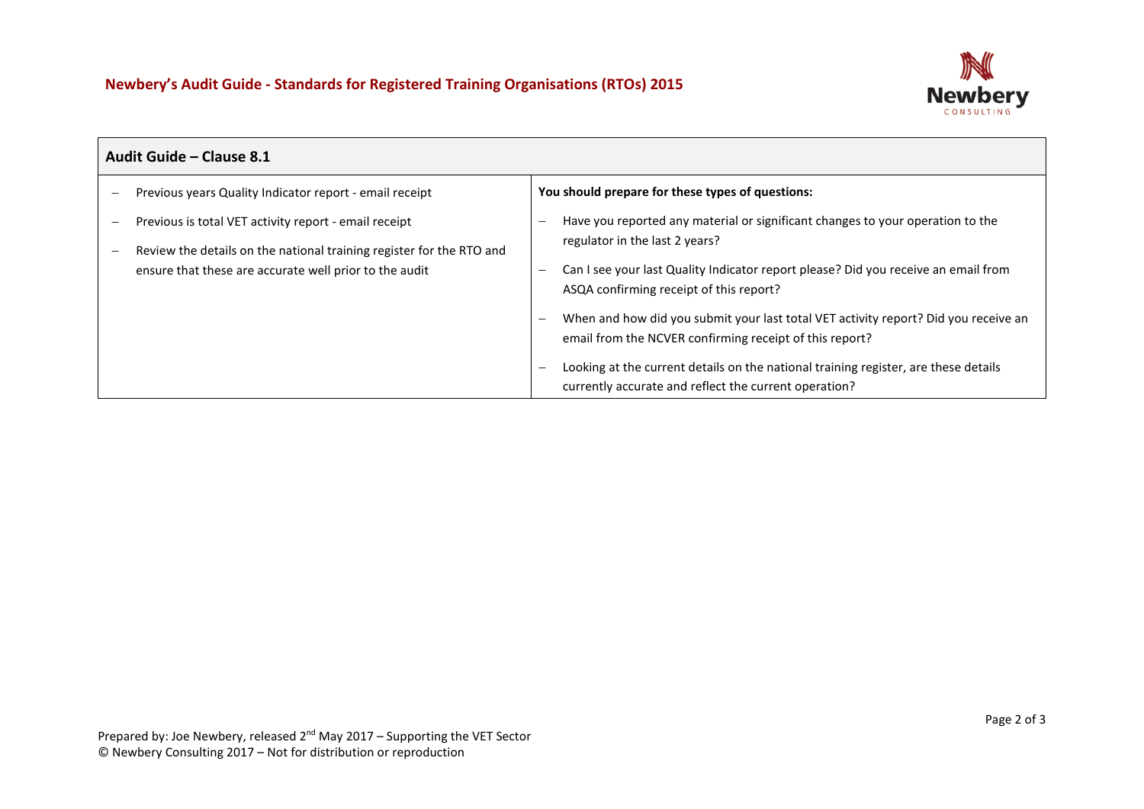

| Audit Guide – Clause 8.1 |                                                                                                                                |  |                                                                                                                                                |  |
|--------------------------|--------------------------------------------------------------------------------------------------------------------------------|--|------------------------------------------------------------------------------------------------------------------------------------------------|--|
|                          | Previous years Quality Indicator report - email receipt                                                                        |  | You should prepare for these types of questions:                                                                                               |  |
|                          | Previous is total VET activity report - email receipt                                                                          |  | Have you reported any material or significant changes to your operation to the<br>regulator in the last 2 years?                               |  |
|                          | Review the details on the national training register for the RTO and<br>ensure that these are accurate well prior to the audit |  | Can I see your last Quality Indicator report please? Did you receive an email from<br>ASQA confirming receipt of this report?                  |  |
|                          |                                                                                                                                |  | When and how did you submit your last total VET activity report? Did you receive an<br>email from the NCVER confirming receipt of this report? |  |
|                          |                                                                                                                                |  | Looking at the current details on the national training register, are these details<br>currently accurate and reflect the current operation?   |  |